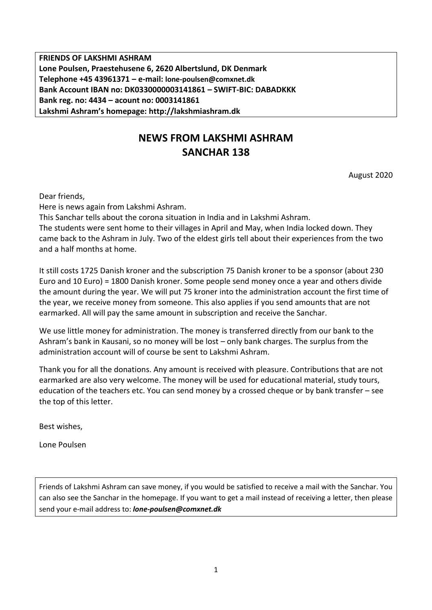**FRIENDS OF LAKSHMI ASHRAM Lone Poulsen, Praestehusene 6, 2620 Albertslund, DK Denmark Telephone +45 43961371 – e-mail: lone-poulsen@comxnet.dk Bank Account IBAN no: DK0330000003141861 – SWIFT-BIC: DABADKKK Bank reg. no: 4434 – acount no: 0003141861 Lakshmi Ashram's homepage: http://lakshmiashram.dk**

# **NEWS FROM LAKSHMI ASHRAM SANCHAR 138**

August 2020

Dear friends,

Here is news again from Lakshmi Ashram.

This Sanchar tells about the corona situation in India and in Lakshmi Ashram. The students were sent home to their villages in April and May, when India locked down. They came back to the Ashram in July. Two of the eldest girls tell about their experiences from the two and a half months at home.

It still costs 1725 Danish kroner and the subscription 75 Danish kroner to be a sponsor (about 230 Euro and 10 Euro) = 1800 Danish kroner. Some people send money once a year and others divide the amount during the year. We will put 75 kroner into the administration account the first time of the year, we receive money from someone. This also applies if you send amounts that are not earmarked. All will pay the same amount in subscription and receive the Sanchar.

We use little money for administration. The money is transferred directly from our bank to the Ashram's bank in Kausani, so no money will be lost – only bank charges. The surplus from the administration account will of course be sent to Lakshmi Ashram.

Thank you for all the donations. Any amount is received with pleasure. Contributions that are not earmarked are also very welcome. The money will be used for educational material, study tours, education of the teachers etc. You can send money by a crossed cheque or by bank transfer – see the top of this letter.

Best wishes,

Lone Poulsen

Friends of Lakshmi Ashram can save money, if you would be satisfied to receive a mail with the Sanchar. You can also see the Sanchar in the homepage. If you want to get a mail instead of receiving a letter, then please send your e-mail address to: *lone-poulsen@comxnet.dk*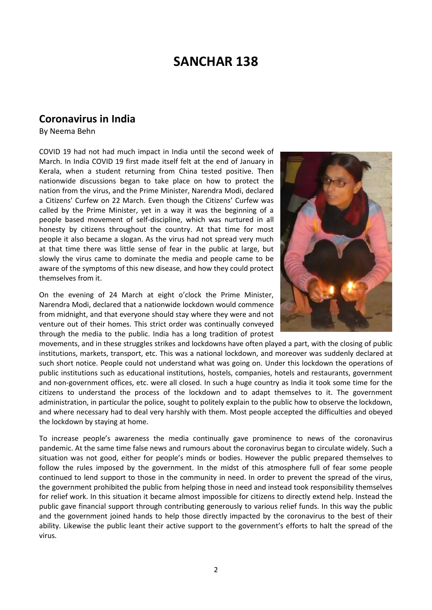# **SANCHAR 138**

## **Coronavirus in India**

By Neema Behn

COVID 19 had not had much impact in India until the second week of March. In India COVID 19 first made itself felt at the end of January in Kerala, when a student returning from China tested positive. Then nationwide discussions began to take place on how to protect the nation from the virus, and the Prime Minister, Narendra Modi, declared a Citizens' Curfew on 22 March. Even though the Citizens' Curfew was called by the Prime Minister, yet in a way it was the beginning of a people based movement of self-discipline, which was nurtured in all honesty by citizens throughout the country. At that time for most people it also became a slogan. As the virus had not spread very much at that time there was little sense of fear in the public at large, but slowly the virus came to dominate the media and people came to be aware of the symptoms of this new disease, and how they could protect themselves from it.

On the evening of 24 March at eight o'clock the Prime Minister, Narendra Modi, declared that a nationwide lockdown would commence from midnight, and that everyone should stay where they were and not venture out of their homes. This strict order was continually conveyed through the media to the public. India has a long tradition of protest



movements, and in these struggles strikes and lockdowns have often played a part, with the closing of public institutions, markets, transport, etc. This was a national lockdown, and moreover was suddenly declared at such short notice. People could not understand what was going on. Under this lockdown the operations of public institutions such as educational institutions, hostels, companies, hotels and restaurants, government and non-government offices, etc. were all closed. In such a huge country as India it took some time for the citizens to understand the process of the lockdown and to adapt themselves to it. The government administration, in particular the police, sought to politely explain to the public how to observe the lockdown, and where necessary had to deal very harshly with them. Most people accepted the difficulties and obeyed the lockdown by staying at home.

To increase people's awareness the media continually gave prominence to news of the coronavirus pandemic. At the same time false news and rumours about the coronavirus began to circulate widely. Such a situation was not good, either for people's minds or bodies. However the public prepared themselves to follow the rules imposed by the government. In the midst of this atmosphere full of fear some people continued to lend support to those in the community in need. In order to prevent the spread of the virus, the government prohibited the public from helping those in need and instead took responsibility themselves for relief work. In this situation it became almost impossible for citizens to directly extend help. Instead the public gave financial support through contributing generously to various relief funds. In this way the public and the government joined hands to help those directly impacted by the coronavirus to the best of their ability. Likewise the public leant their active support to the government's efforts to halt the spread of the virus.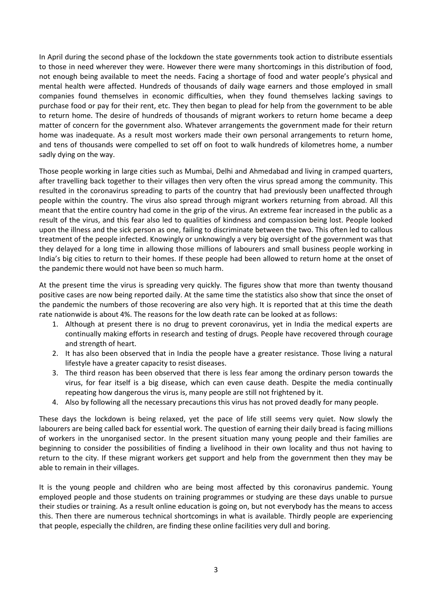In April during the second phase of the lockdown the state governments took action to distribute essentials to those in need wherever they were. However there were many shortcomings in this distribution of food, not enough being available to meet the needs. Facing a shortage of food and water people's physical and mental health were affected. Hundreds of thousands of daily wage earners and those employed in small companies found themselves in economic difficulties, when they found themselves lacking savings to purchase food or pay for their rent, etc. They then began to plead for help from the government to be able to return home. The desire of hundreds of thousands of migrant workers to return home became a deep matter of concern for the government also. Whatever arrangements the government made for their return home was inadequate. As a result most workers made their own personal arrangements to return home, and tens of thousands were compelled to set off on foot to walk hundreds of kilometres home, a number sadly dying on the way.

Those people working in large cities such as Mumbai, Delhi and Ahmedabad and living in cramped quarters, after travelling back together to their villages then very often the virus spread among the community. This resulted in the coronavirus spreading to parts of the country that had previously been unaffected through people within the country. The virus also spread through migrant workers returning from abroad. All this meant that the entire country had come in the grip of the virus. An extreme fear increased in the public as a result of the virus, and this fear also led to qualities of kindness and compassion being lost. People looked upon the illness and the sick person as one, failing to discriminate between the two. This often led to callous treatment of the people infected. Knowingly or unknowingly a very big oversight of the government was that they delayed for a long time in allowing those millions of labourers and small business people working in India's big cities to return to their homes. If these people had been allowed to return home at the onset of the pandemic there would not have been so much harm.

At the present time the virus is spreading very quickly. The figures show that more than twenty thousand positive cases are now being reported daily. At the same time the statistics also show that since the onset of the pandemic the numbers of those recovering are also very high. It is reported that at this time the death rate nationwide is about 4%. The reasons for the low death rate can be looked at as follows:

- 1. Although at present there is no drug to prevent coronavirus, yet in India the medical experts are continually making efforts in research and testing of drugs. People have recovered through courage and strength of heart.
- 2. It has also been observed that in India the people have a greater resistance. Those living a natural lifestyle have a greater capacity to resist diseases.
- 3. The third reason has been observed that there is less fear among the ordinary person towards the virus, for fear itself is a big disease, which can even cause death. Despite the media continually repeating how dangerous the virus is, many people are still not frightened by it.
- 4. Also by following all the necessary precautions this virus has not proved deadly for many people.

These days the lockdown is being relaxed, yet the pace of life still seems very quiet. Now slowly the labourers are being called back for essential work. The question of earning their daily bread is facing millions of workers in the unorganised sector. In the present situation many young people and their families are beginning to consider the possibilities of finding a livelihood in their own locality and thus not having to return to the city. If these migrant workers get support and help from the government then they may be able to remain in their villages.

It is the young people and children who are being most affected by this coronavirus pandemic. Young employed people and those students on training programmes or studying are these days unable to pursue their studies or training. As a result online education is going on, but not everybody has the means to access this. Then there are numerous technical shortcomings in what is available. Thirdly people are experiencing that people, especially the children, are finding these online facilities very dull and boring.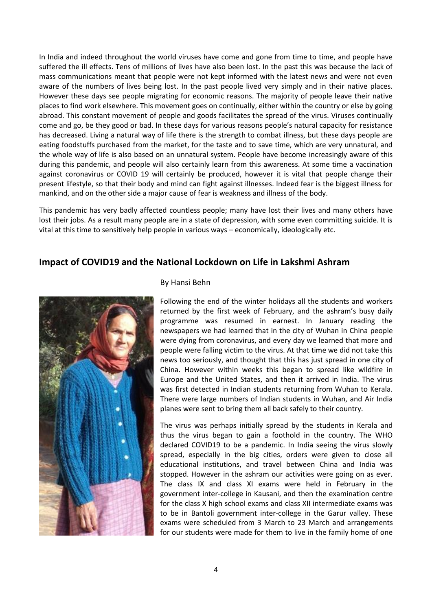In India and indeed throughout the world viruses have come and gone from time to time, and people have suffered the ill effects. Tens of millions of lives have also been lost. In the past this was because the lack of mass communications meant that people were not kept informed with the latest news and were not even aware of the numbers of lives being lost. In the past people lived very simply and in their native places. However these days see people migrating for economic reasons. The majority of people leave their native places to find work elsewhere. This movement goes on continually, either within the country or else by going abroad. This constant movement of people and goods facilitates the spread of the virus. Viruses continually come and go, be they good or bad. In these days for various reasons people's natural capacity for resistance has decreased. Living a natural way of life there is the strength to combat illness, but these days people are eating foodstuffs purchased from the market, for the taste and to save time, which are very unnatural, and the whole way of life is also based on an unnatural system. People have become increasingly aware of this during this pandemic, and people will also certainly learn from this awareness. At some time a vaccination against coronavirus or COVID 19 will certainly be produced, however it is vital that people change their present lifestyle, so that their body and mind can fight against illnesses. Indeed fear is the biggest illness for mankind, and on the other side a major cause of fear is weakness and illness of the body.

This pandemic has very badly affected countless people; many have lost their lives and many others have lost their jobs. As a result many people are in a state of depression, with some even committing suicide. It is vital at this time to sensitively help people in various ways – economically, ideologically etc.

### **Impact of COVID19 and the National Lockdown on Life in Lakshmi Ashram**



#### By Hansi Behn

Following the end of the winter holidays all the students and workers returned by the first week of February, and the ashram's busy daily programme was resumed in earnest. In January reading the newspapers we had learned that in the city of Wuhan in China people were dying from coronavirus, and every day we learned that more and people were falling victim to the virus. At that time we did not take this news too seriously, and thought that this has just spread in one city of China. However within weeks this began to spread like wildfire in Europe and the United States, and then it arrived in India. The virus was first detected in Indian students returning from Wuhan to Kerala. There were large numbers of Indian students in Wuhan, and Air India planes were sent to bring them all back safely to their country.

The virus was perhaps initially spread by the students in Kerala and thus the virus began to gain a foothold in the country. The WHO declared COVID19 to be a pandemic. In India seeing the virus slowly spread, especially in the big cities, orders were given to close all educational institutions, and travel between China and India was stopped. However in the ashram our activities were going on as ever. The class IX and class XI exams were held in February in the government inter-college in Kausani, and then the examination centre for the class X high school exams and class XII intermediate exams was to be in Bantoli government inter-college in the Garur valley. These exams were scheduled from 3 March to 23 March and arrangements for our students were made for them to live in the family home of one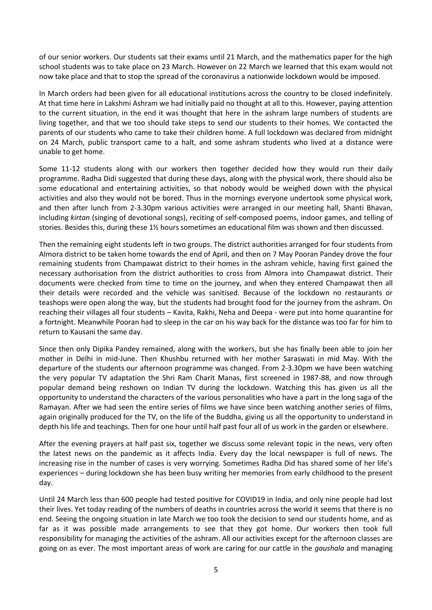of our senior workers. Our students sat their exams until 21 March, and the mathematics paper for the high school students was to take place on 23 March. However on 22 March we learned that this exam would not now take place and that to stop the spread of the coronavirus a nationwide lockdown would be imposed.

In March orders had been given for all educational institutions across the country to be closed indefinitely. At that time here in Lakshmi Ashram we had initially paid no thought at all to this. However, paying attention to the current situation, in the end it was thought that here in the ashram large numbers of students are living together, and that we too should take steps to send our students to their homes. We contacted the parents of our students who came to take their children home. A full lockdown was declared from midnight on 24 March, public transport came to a halt, and some ashram students who lived at a distance were unable to get home.

Some 11-12 students along with our workers then together decided how they would run their daily programme. Radha Didi suggested that during these days, along with the physical work, there should also be some educational and entertaining activities, so that nobody would be weighed down with the physical activities and also they would not be bored. Thus in the mornings everyone undertook some physical work, and then after lunch from 2-3.30pm various activities were arranged in our meeting hall, Shanti Bhavan, including *kirtan* (singing of devotional songs), reciting of self-composed poems, indoor games, and telling of stories. Besides this, during these 1½ hours sometimes an educational film was shown and then discussed.

Then the remaining eight students left in two groups. The district authorities arranged for four students from Almora district to be taken home towards the end of April, and then on 7 May Pooran Pandey drove the four remaining students from Champawat district to their homes in the ashram vehicle, having first gained the necessary authorisation from the district authorities to cross from Almora into Champawat district. Their documents were checked from time to time on the journey, and when they entered Champawat then all their details were recorded and the vehicle was sanitised. Because of the lockdown no restaurants or teashops were open along the way, but the students had brought food for the journey from the ashram. On reaching their villages all four students – Kavita, Rakhi, Neha and Deepa - were put into home quarantine for a fortnight. Meanwhile Pooran had to sleep in the car on his way back for the distance was too far for him to return to Kausani the same day.

Since then only Dipika Pandey remained, along with the workers, but she has finally been able to join her mother in Delhi in mid-June. Then Khushbu returned with her mother Saraswati in mid May. With the departure of the students our afternoon programme was changed. From 2-3.30pm we have been watching the very popular TV adaptation the Shri Ram Charit Manas, first screened in 1987-88, and now through popular demand being reshown on Indian TV during the lockdown. Watching this has given us all the opportunity to understand the characters of the various personalities who have a part in the long saga of the Ramayan. After we had seen the entire series of films we have since been watching another series of films, again originally produced for the TV, on the life of the Buddha, giving us all the opportunity to understand in depth his life and teachings. Then for one hour until half past four all of us work in the garden or elsewhere.

After the evening prayers at half past six, together we discuss some relevant topic in the news, very often the latest news on the pandemic as it affects India. Every day the local newspaper is full of news. The increasing rise in the number of cases is very worrying. Sometimes Radha Did has shared some of her life's experiences – during lockdown she has been busy writing her memories from early childhood to the present day.

Until 24 March less than 600 people had tested positive for COVID19 in India, and only nine people had lost their lives. Yet today reading of the numbers of deaths in countries across the world it seems that there is no end. Seeing the ongoing situation in late March we too took the decision to send our students home, and as far as it was possible made arrangements to see that they got home. Our workers then took full responsibility for managing the activities of the ashram. All our activities except for the afternoon classes are going on as ever. The most important areas of work are caring for our cattle in the *gaushala* and managing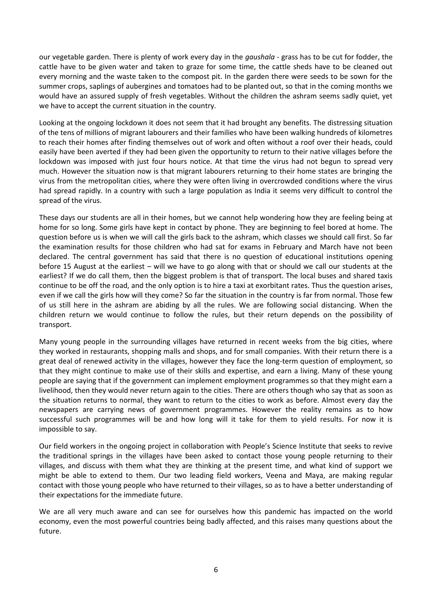our vegetable garden. There is plenty of work every day in the *gaushala -* grass has to be cut for fodder, the cattle have to be given water and taken to graze for some time, the cattle sheds have to be cleaned out every morning and the waste taken to the compost pit. In the garden there were seeds to be sown for the summer crops, saplings of aubergines and tomatoes had to be planted out, so that in the coming months we would have an assured supply of fresh vegetables. Without the children the ashram seems sadly quiet, yet we have to accept the current situation in the country.

Looking at the ongoing lockdown it does not seem that it had brought any benefits. The distressing situation of the tens of millions of migrant labourers and their families who have been walking hundreds of kilometres to reach their homes after finding themselves out of work and often without a roof over their heads, could easily have been averted if they had been given the opportunity to return to their native villages before the lockdown was imposed with just four hours notice. At that time the virus had not begun to spread very much. However the situation now is that migrant labourers returning to their home states are bringing the virus from the metropolitan cities, where they were often living in overcrowded conditions where the virus had spread rapidly. In a country with such a large population as India it seems very difficult to control the spread of the virus.

These days our students are all in their homes, but we cannot help wondering how they are feeling being at home for so long. Some girls have kept in contact by phone. They are beginning to feel bored at home. The question before us is when we will call the girls back to the ashram, which classes we should call first. So far the examination results for those children who had sat for exams in February and March have not been declared. The central government has said that there is no question of educational institutions opening before 15 August at the earliest – will we have to go along with that or should we call our students at the earliest? If we do call them, then the biggest problem is that of transport. The local buses and shared taxis continue to be off the road, and the only option is to hire a taxi at exorbitant rates. Thus the question arises, even if we call the girls how will they come? So far the situation in the country is far from normal. Those few of us still here in the ashram are abiding by all the rules. We are following social distancing. When the children return we would continue to follow the rules, but their return depends on the possibility of transport.

Many young people in the surrounding villages have returned in recent weeks from the big cities, where they worked in restaurants, shopping malls and shops, and for small companies. With their return there is a great deal of renewed activity in the villages, however they face the long-term question of employment, so that they might continue to make use of their skills and expertise, and earn a living. Many of these young people are saying that if the government can implement employment programmes so that they might earn a livelihood, then they would never return again to the cities. There are others though who say that as soon as the situation returns to normal, they want to return to the cities to work as before. Almost every day the newspapers are carrying news of government programmes. However the reality remains as to how successful such programmes will be and how long will it take for them to yield results. For now it is impossible to say.

Our field workers in the ongoing project in collaboration with People's Science Institute that seeks to revive the traditional springs in the villages have been asked to contact those young people returning to their villages, and discuss with them what they are thinking at the present time, and what kind of support we might be able to extend to them. Our two leading field workers, Veena and Maya, are making regular contact with those young people who have returned to their villages, so as to have a better understanding of their expectations for the immediate future.

We are all very much aware and can see for ourselves how this pandemic has impacted on the world economy, even the most powerful countries being badly affected, and this raises many questions about the future.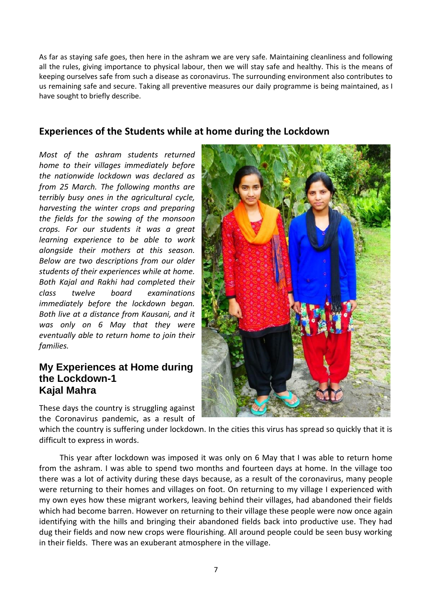As far as staying safe goes, then here in the ashram we are very safe. Maintaining cleanliness and following all the rules, giving importance to physical labour, then we will stay safe and healthy. This is the means of keeping ourselves safe from such a disease as coronavirus. The surrounding environment also contributes to us remaining safe and secure. Taking all preventive measures our daily programme is being maintained, as I have sought to briefly describe.

## **Experiences of the Students while at home during the Lockdown**

*Most of the ashram students returned home to their villages immediately before the nationwide lockdown was declared as from 25 March. The following months are terribly busy ones in the agricultural cycle, harvesting the winter crops and preparing the fields for the sowing of the monsoon crops. For our students it was a great learning experience to be able to work alongside their mothers at this season. Below are two descriptions from our older students of their experiences while at home. Both Kajal and Rakhi had completed their class twelve board examinations immediately before the lockdown began. Both live at a distance from Kausani, and it was only on 6 May that they were eventually able to return home to join their families.*

## **My Experiences at Home during the Lockdown-1 Kajal Mahra**

These days the country is struggling against the Coronavirus pandemic, as a result of



which the country is suffering under lockdown. In the cities this virus has spread so quickly that it is difficult to express in words.

This year after lockdown was imposed it was only on 6 May that I was able to return home from the ashram. I was able to spend two months and fourteen days at home. In the village too there was a lot of activity during these days because, as a result of the coronavirus, many people were returning to their homes and villages on foot. On returning to my village I experienced with my own eyes how these migrant workers, leaving behind their villages, had abandoned their fields which had become barren. However on returning to their village these people were now once again identifying with the hills and bringing their abandoned fields back into productive use. They had dug their fields and now new crops were flourishing. All around people could be seen busy working in their fields. There was an exuberant atmosphere in the village.